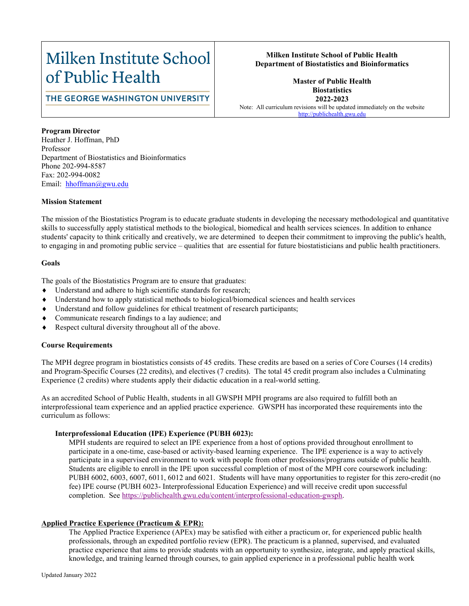# Milken Institute School of Public Health

## **Milken Institute School of Public Health Department of Biostatistics and Bioinformatics**

# THE GEORGE WASHINGTON UNIVERSITY

**Master of Public Health Biostatistics 2022-2023** Note: All curriculum revisions will be updated immediately on the website [http://publichealth.gwu.edu](http://publichealth.gwu.edu/)

**Program Director** Heather J. Hoffman, PhD Professor Department of Biostatistics and Bioinformatics Phone 202-994-8587 Fax: 202-994-0082 Email: hhoffman@gwu.edu

#### **Mission Statement**

The mission of the Biostatistics Program is to educate graduate students in developing the necessary methodological and quantitative skills to successfully apply statistical methods to the biological, biomedical and health services sciences. In addition to enhance students' capacity to think critically and creatively, we are determined to deepen their commitment to improving the public's health, to engaging in and promoting public service – qualities that are essential for future biostatisticians and public health practitioners.

### **Goals**

The goals of the Biostatistics Program are to ensure that graduates:

- Understand and adhere to high scientific standards for research;
- Understand how to apply statistical methods to biological/biomedical sciences and health services
- Understand and follow guidelines for ethical treatment of research participants;
- Communicate research findings to a lay audience; and
- Respect cultural diversity throughout all of the above.

## **Course Requirements**

The MPH degree program in biostatistics consists of 45 credits. These credits are based on a series of Core Courses (14 credits) and Program-Specific Courses (22 credits), and electives (7 credits). The total 45 credit program also includes a Culminating Experience (2 credits) where students apply their didactic education in a real-world setting.

As an accredited School of Public Health, students in all GWSPH MPH programs are also required to fulfill both an interprofessional team experience and an applied practice experience. GWSPH has incorporated these requirements into the curriculum as follows:

#### **Interprofessional Education (IPE) Experience (PUBH 6023):**

MPH students are required to select an IPE experience from a host of options provided throughout enrollment to participate in a one-time, case-based or activity-based learning experience. The IPE experience is a way to actively participate in a supervised environment to work with people from other professions/programs outside of public health. Students are eligible to enroll in the IPE upon successful completion of most of the MPH core coursework including: PUBH 6002, 6003, 6007, 6011, 6012 and 6021. Students will have many opportunities to register for this zero-credit (no fee) IPE course (PUBH 6023- Interprofessional Education Experience) and will receive credit upon successful completion. See [https://publichealth.gwu.edu/content/interprofessional-education-gwsph.](https://publichealth.gwu.edu/content/interprofessional-education-gwsph)

#### **Applied Practice Experience (Practicum & EPR):**

The Applied Practice Experience (APEx) may be satisfied with either a practicum or, for experienced public health professionals, through an expedited portfolio review (EPR). The practicum is a planned, supervised, and evaluated practice experience that aims to provide students with an opportunity to synthesize, integrate, and apply practical skills, knowledge, and training learned through courses, to gain applied experience in a professional public health work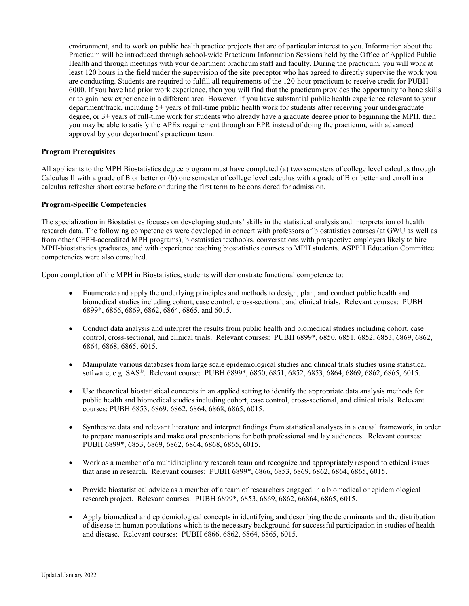environment, and to work on public health practice projects that are of particular interest to you. Information about the Practicum will be introduced through school-wide Practicum Information Sessions held by the Office of Applied Public Health and through meetings with your department practicum staff and faculty. During the practicum, you will work at least 120 hours in the field under the supervision of the site preceptor who has agreed to directly supervise the work you are conducting. Students are required to fulfill all requirements of the 120-hour practicum to receive credit for PUBH 6000. If you have had prior work experience, then you will find that the practicum provides the opportunity to hone skills or to gain new experience in a different area. However, if you have substantial public health experience relevant to your department/track, including 5+ years of full-time public health work for students after receiving your undergraduate degree, or 3+ years of full-time work for students who already have a graduate degree prior to beginning the MPH, then you may be able to satisfy the APEx requirement through an EPR instead of doing the practicum, with advanced approval by your department's practicum team.

#### **Program Prerequisites**

All applicants to the MPH Biostatistics degree program must have completed (a) two semesters of college level calculus through Calculus II with a grade of B or better or (b) one semester of college level calculus with a grade of B or better and enroll in a calculus refresher short course before or during the first term to be considered for admission.

#### **Program-Specific Competencies**

The specialization in Biostatistics focuses on developing students' skills in the statistical analysis and interpretation of health research data. The following competencies were developed in concert with professors of biostatistics courses (at GWU as well as from other CEPH-accredited MPH programs), biostatistics textbooks, conversations with prospective employers likely to hire MPH-biostatistics graduates, and with experience teaching biostatistics courses to MPH students. ASPPH Education Committee competencies were also consulted.

Upon completion of the MPH in Biostatistics, students will demonstrate functional competence to:

- Enumerate and apply the underlying principles and methods to design, plan, and conduct public health and biomedical studies including cohort, case control, cross-sectional, and clinical trials. Relevant courses: PUBH 6899\*, 6866, 6869, 6862, 6864, 6865, and 6015.
- Conduct data analysis and interpret the results from public health and biomedical studies including cohort, case control, cross-sectional, and clinical trials. Relevant courses: PUBH 6899\*, 6850, 6851, 6852, 6853, 6869, 6862, 6864, 6868, 6865, 6015.
- Manipulate various databases from large scale epidemiological studies and clinical trials studies using statistical software, e.g. SAS®. Relevant course: PUBH 6899\*, 6850, 6851, 6852, 6853, 6864, 6869, 6862, 6865, 6015.
- Use theoretical biostatistical concepts in an applied setting to identify the appropriate data analysis methods for public health and biomedical studies including cohort, case control, cross-sectional, and clinical trials. Relevant courses: PUBH 6853, 6869, 6862, 6864, 6868, 6865, 6015.
- Synthesize data and relevant literature and interpret findings from statistical analyses in a causal framework, in order to prepare manuscripts and make oral presentations for both professional and lay audiences. Relevant courses: PUBH 6899\*, 6853, 6869, 6862, 6864, 6868, 6865, 6015.
- Work as a member of a multidisciplinary research team and recognize and appropriately respond to ethical issues that arise in research. Relevant courses: PUBH 6899\*, 6866, 6853, 6869, 6862, 6864, 6865, 6015.
- Provide biostatistical advice as a member of a team of researchers engaged in a biomedical or epidemiological research project. Relevant courses: PUBH 6899\*, 6853, 6869, 6862, 66864, 6865, 6015.
- Apply biomedical and epidemiological concepts in identifying and describing the determinants and the distribution of disease in human populations which is the necessary background for successful participation in studies of health and disease. Relevant courses: PUBH 6866, 6862, 6864, 6865, 6015.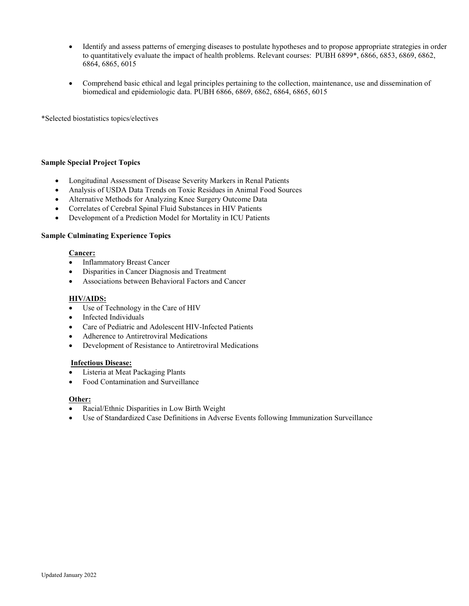- Identify and assess patterns of emerging diseases to postulate hypotheses and to propose appropriate strategies in order to quantitatively evaluate the impact of health problems. Relevant courses: PUBH 6899\*, 6866, 6853, 6869, 6862, 6864, 6865, 6015
- Comprehend basic ethical and legal principles pertaining to the collection, maintenance, use and dissemination of biomedical and epidemiologic data. PUBH 6866, 6869, 6862, 6864, 6865, 6015

\*Selected biostatistics topics/electives

#### **Sample Special Project Topics**

- Longitudinal Assessment of Disease Severity Markers in Renal Patients
- Analysis of USDA Data Trends on Toxic Residues in Animal Food Sources
- Alternative Methods for Analyzing Knee Surgery Outcome Data
- Correlates of Cerebral Spinal Fluid Substances in HIV Patients
- Development of a Prediction Model for Mortality in ICU Patients

#### **Sample Culminating Experience Topics**

#### **Cancer:**

- Inflammatory Breast Cancer
- Disparities in Cancer Diagnosis and Treatment
- Associations between Behavioral Factors and Cancer

#### **HIV/AIDS:**

- Use of Technology in the Care of HIV
- Infected Individuals
- Care of Pediatric and Adolescent HIV-Infected Patients
- Adherence to Antiretroviral Medications
- Development of Resistance to Antiretroviral Medications

#### **Infectious Disease:**

- Listeria at Meat Packaging Plants
- Food Contamination and Surveillance

#### **Other:**

- Racial/Ethnic Disparities in Low Birth Weight
- Use of Standardized Case Definitions in Adverse Events following Immunization Surveillance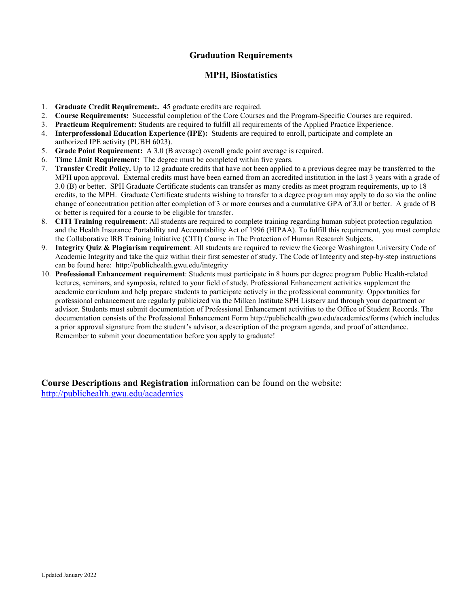# **Graduation Requirements**

## **MPH, Biostatistics**

- 1. **Graduate Credit Requirement:.** 45 graduate credits are required.
- 2. **Course Requirements:** Successful completion of the Core Courses and the Program-Specific Courses are required.
- 3. **Practicum Requirement:** Students are required to fulfill all requirements of the Applied Practice Experience.
- 4. **Interprofessional Education Experience (IPE):** Students are required to enroll, participate and complete an authorized IPE activity (PUBH 6023).
- 5. **Grade Point Requirement:** A 3.0 (B average) overall grade point average is required.
- 6. **Time Limit Requirement:** The degree must be completed within five years.
- 7. **Transfer Credit Policy.** Up to 12 graduate credits that have not been applied to a previous degree may be transferred to the MPH upon approval. External credits must have been earned from an accredited institution in the last 3 years with a grade of 3.0 (B) or better. SPH Graduate Certificate students can transfer as many credits as meet program requirements, up to 18 credits, to the MPH. Graduate Certificate students wishing to transfer to a degree program may apply to do so via the online change of concentration petition after completion of 3 or more courses and a cumulative GPA of 3.0 or better. A grade of B or better is required for a course to be eligible for transfer.
- 8. **CITI Training requirement**: All students are required to complete training regarding human subject protection regulation and the Health Insurance Portability and Accountability Act of 1996 (HIPAA). To fulfill this requirement, you must complete the Collaborative IRB Training Initiative (CITI) Course in The Protection of Human Research Subjects.
- 9. **Integrity Quiz & Plagiarism requirement**: All students are required to review the George Washington University Code of Academic Integrity and take the quiz within their first semester of study. The Code of Integrity and step-by-step instructions can be found here: http://publichealth.gwu.edu/integrity
- 10. **Professional Enhancement requirement**: Students must participate in 8 hours per degree program Public Health-related lectures, seminars, and symposia, related to your field of study. Professional Enhancement activities supplement the academic curriculum and help prepare students to participate actively in the professional community. Opportunities for professional enhancement are regularly publicized via the Milken Institute SPH Listserv and through your department or advisor. Students must submit documentation of Professional Enhancement activities to the Office of Student Records. The documentation consists of the Professional Enhancement Form http://publichealth.gwu.edu/academics/forms (which includes a prior approval signature from the student's advisor, a description of the program agenda, and proof of attendance. Remember to submit your documentation before you apply to graduate!

**Course Descriptions and Registration** information can be found on the website: <http://publichealth.gwu.edu/academics>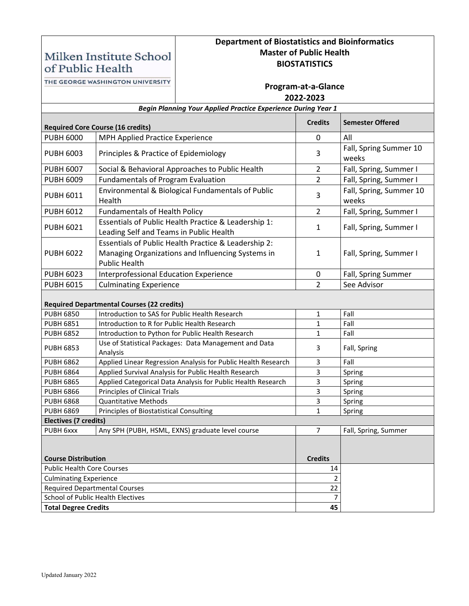# **Department of Biostatistics and Bioinformatics Master of Public Health BIOSTATISTICS**

of Public Health THE GEORGE WASHINGTON UNIVERSITY

Milken Institute School

| THE GEORGE WASHINGTON UNIVERSITY                                     |                                                   | Program-at-a-Glance<br>2022-2023                                                                          |                |                                  |  |  |  |
|----------------------------------------------------------------------|---------------------------------------------------|-----------------------------------------------------------------------------------------------------------|----------------|----------------------------------|--|--|--|
| <b>Begin Planning Your Applied Practice Experience During Year 1</b> |                                                   |                                                                                                           |                |                                  |  |  |  |
| <b>Required Core Course (16 credits)</b>                             |                                                   |                                                                                                           | <b>Credits</b> | <b>Semester Offered</b>          |  |  |  |
| <b>PUBH 6000</b>                                                     | MPH Applied Practice Experience                   |                                                                                                           |                | All                              |  |  |  |
| <b>PUBH 6003</b>                                                     | Principles & Practice of Epidemiology             |                                                                                                           | 3              | Fall, Spring Summer 10<br>weeks  |  |  |  |
| <b>PUBH 6007</b>                                                     |                                                   | Social & Behavioral Approaches to Public Health                                                           | $\overline{2}$ | Fall, Spring, Summer I           |  |  |  |
| <b>PUBH 6009</b>                                                     | <b>Fundamentals of Program Evaluation</b>         |                                                                                                           | $\overline{2}$ | Fall, Spring, Summer I           |  |  |  |
| <b>PUBH 6011</b>                                                     | Health                                            | Environmental & Biological Fundamentals of Public                                                         | 3              | Fall, Spring, Summer 10<br>weeks |  |  |  |
| <b>PUBH 6012</b>                                                     | <b>Fundamentals of Health Policy</b>              |                                                                                                           | $\overline{2}$ | Fall, Spring, Summer I           |  |  |  |
| <b>PUBH 6021</b>                                                     | Leading Self and Teams in Public Health           | Essentials of Public Health Practice & Leadership 1:                                                      | $\mathbf{1}$   | Fall, Spring, Summer I           |  |  |  |
| <b>PUBH 6022</b>                                                     | <b>Public Health</b>                              | Essentials of Public Health Practice & Leadership 2:<br>Managing Organizations and Influencing Systems in | 1              | Fall, Spring, Summer I           |  |  |  |
| <b>PUBH 6023</b>                                                     | Interprofessional Education Experience            |                                                                                                           | 0              | Fall, Spring Summer              |  |  |  |
| <b>PUBH 6015</b>                                                     | <b>Culminating Experience</b>                     |                                                                                                           | $\overline{2}$ | See Advisor                      |  |  |  |
|                                                                      | <b>Required Departmental Courses (22 credits)</b> |                                                                                                           |                |                                  |  |  |  |
| <b>PUBH 6850</b>                                                     | Introduction to SAS for Public Health Research    |                                                                                                           | $\mathbf{1}$   | Fall                             |  |  |  |
| <b>PUBH 6851</b>                                                     | Introduction to R for Public Health Research      |                                                                                                           | $\mathbf{1}$   | Fall                             |  |  |  |
| <b>PUBH 6852</b>                                                     |                                                   | Introduction to Python for Public Health Research                                                         | $\mathbf{1}$   | Fall                             |  |  |  |
| <b>PUBH 6853</b>                                                     | Analysis                                          | Use of Statistical Packages: Data Management and Data                                                     | 3              | Fall, Spring                     |  |  |  |
| <b>PUBH 6862</b>                                                     |                                                   | Applied Linear Regression Analysis for Public Health Research                                             | 3              | Fall                             |  |  |  |
| <b>PUBH 6864</b>                                                     |                                                   | Applied Survival Analysis for Public Health Research                                                      | 3              | Spring                           |  |  |  |
| <b>PUBH 6865</b>                                                     |                                                   | Applied Categorical Data Analysis for Public Health Research                                              | 3              | Spring                           |  |  |  |
| <b>PUBH 6866</b>                                                     | Principles of Clinical Trials                     |                                                                                                           | 3              | Spring                           |  |  |  |
| <b>PUBH 6868</b>                                                     | <b>Quantitative Methods</b>                       |                                                                                                           | 3              | Spring                           |  |  |  |
| <b>PUBH 6869</b>                                                     | Principles of Biostatistical Consulting           |                                                                                                           | 1              | Spring                           |  |  |  |
| Electives (7 credits)<br>7                                           |                                                   |                                                                                                           |                |                                  |  |  |  |
| PUBH 6xxx<br>Any SPH (PUBH, HSML, EXNS) graduate level course        |                                                   |                                                                                                           |                | Fall, Spring, Summer             |  |  |  |
| <b>Course Distribution</b>                                           |                                                   |                                                                                                           | <b>Credits</b> |                                  |  |  |  |
| <b>Public Health Core Courses</b>                                    |                                                   |                                                                                                           | 14             |                                  |  |  |  |
| <b>Culminating Experience</b>                                        |                                                   |                                                                                                           | $\overline{2}$ |                                  |  |  |  |
| <b>Required Departmental Courses</b>                                 |                                                   | 22                                                                                                        |                |                                  |  |  |  |
| <b>School of Public Health Electives</b>                             |                                                   |                                                                                                           | $\overline{7}$ |                                  |  |  |  |
| <b>Total Degree Credits</b>                                          |                                                   |                                                                                                           | 45             |                                  |  |  |  |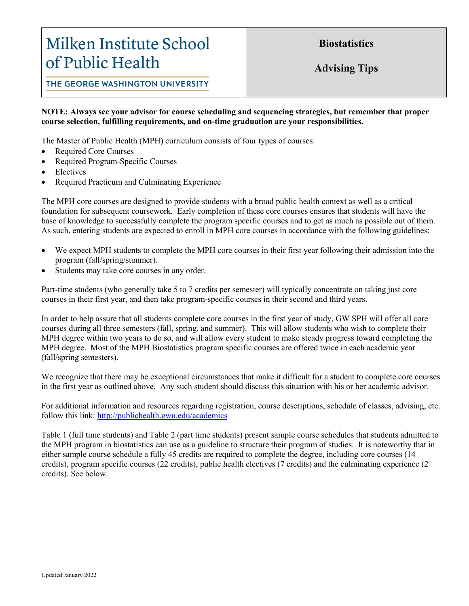# Milken Institute School of Public Health

**Biostatistics**

**Advising Tips**

THE GEORGE WASHINGTON UNIVERSITY

## **NOTE: Always see your advisor for course scheduling and sequencing strategies, but remember that proper course selection, fulfilling requirements, and on-time graduation are your responsibilities.**

The Master of Public Health (MPH) curriculum consists of four types of courses:

- Required Core Courses
- Required Program-Specific Courses
- **Electives**
- Required Practicum and Culminating Experience

The MPH core courses are designed to provide students with a broad public health context as well as a critical foundation for subsequent coursework. Early completion of these core courses ensures that students will have the base of knowledge to successfully complete the program specific courses and to get as much as possible out of them. As such, entering students are expected to enroll in MPH core courses in accordance with the following guidelines:

- We expect MPH students to complete the MPH core courses in their first year following their admission into the program (fall/spring/summer).
- Students may take core courses in any order.

Part-time students (who generally take 5 to 7 credits per semester) will typically concentrate on taking just core courses in their first year, and then take program-specific courses in their second and third years.

In order to help assure that all students complete core courses in the first year of study, GW SPH will offer all core courses during all three semesters (fall, spring, and summer). This will allow students who wish to complete their MPH degree within two years to do so, and will allow every student to make steady progress toward completing the MPH degree. Most of the MPH Biostatistics program specific courses are offered twice in each academic year (fall/spring semesters).

We recognize that there may be exceptional circumstances that make it difficult for a student to complete core courses in the first year as outlined above. Any such student should discuss this situation with his or her academic advisor.

For additional information and resources regarding registration, course descriptions, schedule of classes, advising, etc. follow this link: <http://publichealth.gwu.edu/academics>

Table 1 (full time students) and Table 2 (part time students) present sample course schedules that students admitted to the MPH program in biostatistics can use as a guideline to structure their program of studies. It is noteworthy that in either sample course schedule a fully 45 credits are required to complete the degree, including core courses (14 credits), program specific courses (22 credits), public health electives (7 credits) and the culminating experience (2 credits). See below.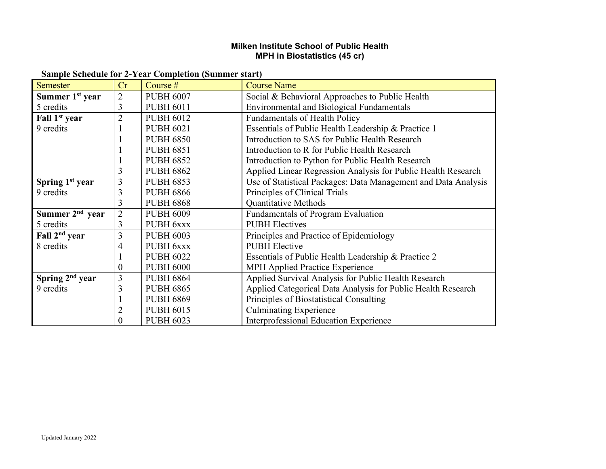# **Milken Institute School of Public Health MPH in Biostatistics (45 cr)**

| <b>Sample Schedule for 2-Year Completion (Summer start)</b> |  |  |  |  |  |  |  |  |  |  |
|-------------------------------------------------------------|--|--|--|--|--|--|--|--|--|--|
|-------------------------------------------------------------|--|--|--|--|--|--|--|--|--|--|

| <b>Semester</b>             | Cr             | Course #         | <b>Course Name</b>                                             |
|-----------------------------|----------------|------------------|----------------------------------------------------------------|
| Summer 1 <sup>st</sup> year | $\overline{2}$ | <b>PUBH 6007</b> | Social & Behavioral Approaches to Public Health                |
| 5 credits                   | 3              | <b>PUBH 6011</b> | <b>Environmental and Biological Fundamentals</b>               |
| Fall 1 <sup>st</sup> year   | $\overline{2}$ | <b>PUBH 6012</b> | <b>Fundamentals of Health Policy</b>                           |
| 9 credits                   |                | <b>PUBH 6021</b> | Essentials of Public Health Leadership & Practice 1            |
|                             |                | <b>PUBH 6850</b> | Introduction to SAS for Public Health Research                 |
|                             |                | <b>PUBH 6851</b> | Introduction to R for Public Health Research                   |
|                             |                | <b>PUBH 6852</b> | Introduction to Python for Public Health Research              |
|                             | 3              | <b>PUBH 6862</b> | Applied Linear Regression Analysis for Public Health Research  |
| Spring 1 <sup>st</sup> year | 3              | <b>PUBH 6853</b> | Use of Statistical Packages: Data Management and Data Analysis |
| 9 credits                   | 3              | <b>PUBH 6866</b> | Principles of Clinical Trials                                  |
|                             | 3              | <b>PUBH 6868</b> | <b>Quantitative Methods</b>                                    |
| Summer 2 <sup>nd</sup> year | $\overline{2}$ | <b>PUBH 6009</b> | <b>Fundamentals of Program Evaluation</b>                      |
| 5 credits                   | 3              | PUBH 6xxx        | <b>PUBH</b> Electives                                          |
| Fall 2 <sup>nd</sup> year   | 3              | <b>PUBH 6003</b> | Principles and Practice of Epidemiology                        |
| 8 credits                   | 4              | PUBH 6xxx        | <b>PUBH</b> Elective                                           |
|                             | 1              | <b>PUBH 6022</b> | Essentials of Public Health Leadership & Practice 2            |
|                             | $\overline{0}$ | <b>PUBH 6000</b> | <b>MPH Applied Practice Experience</b>                         |
| Spring $2nd$ year           | 3              | <b>PUBH 6864</b> | Applied Survival Analysis for Public Health Research           |
| 9 credits                   | 3              | <b>PUBH 6865</b> | Applied Categorical Data Analysis for Public Health Research   |
|                             |                | <b>PUBH 6869</b> | Principles of Biostatistical Consulting                        |
|                             | 2              | <b>PUBH 6015</b> | <b>Culminating Experience</b>                                  |
|                             | 0              | <b>PUBH 6023</b> | <b>Interprofessional Education Experience</b>                  |